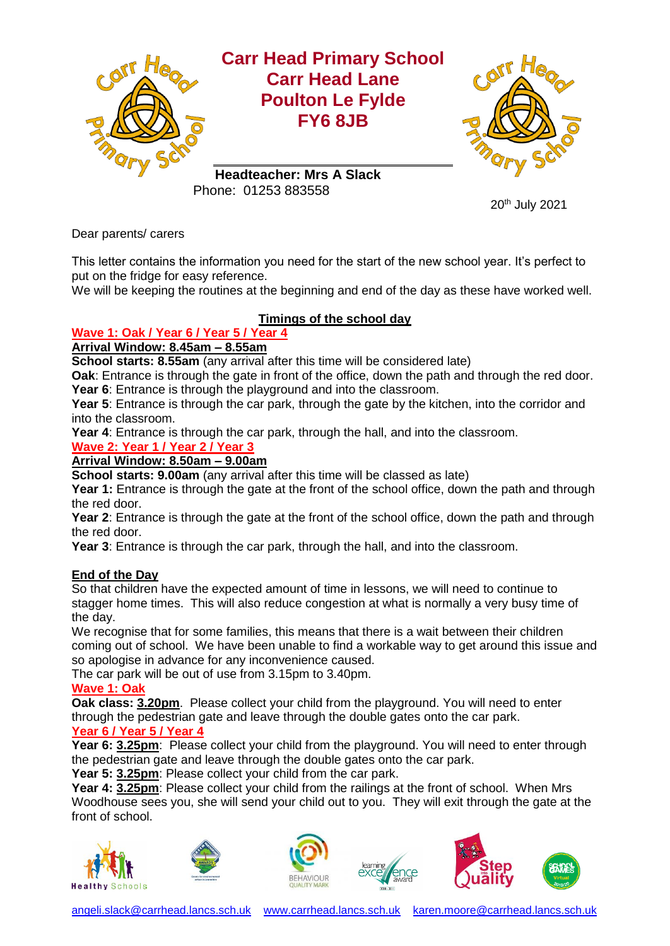

20th July 2021

Dear parents/ carers

This letter contains the information you need for the start of the new school year. It's perfect to put on the fridge for easy reference.

We will be keeping the routines at the beginning and end of the day as these have worked well.

# **Timings of the school day**

## **Wave 1: Oak / Year 6 / Year 5 / Year 4**

# **Arrival Window: 8.45am – 8.55am**

**School starts: 8.55am** (any arrival after this time will be considered late)

**Oak**: Entrance is through the gate in front of the office, down the path and through the red door. **Year 6**: Entrance is through the playground and into the classroom.

**Year 5**: Entrance is through the car park, through the gate by the kitchen, into the corridor and into the classroom.

**Year 4**: Entrance is through the car park, through the hall, and into the classroom.

## **Wave 2: Year 1 / Year 2 / Year 3**

## **Arrival Window: 8.50am – 9.00am**

**School starts: 9.00am** (any arrival after this time will be classed as late)

**Year 1:** Entrance is through the gate at the front of the school office, down the path and through the red door.

**Year 2**: Entrance is through the gate at the front of the school office, down the path and through the red door.

**Year 3**: Entrance is through the car park, through the hall, and into the classroom.

## **End of the Day**

So that children have the expected amount of time in lessons, we will need to continue to stagger home times. This will also reduce congestion at what is normally a very busy time of the day.

We recognise that for some families, this means that there is a wait between their children coming out of school. We have been unable to find a workable way to get around this issue and so apologise in advance for any inconvenience caused.

The car park will be out of use from 3.15pm to 3.40pm.

#### **Wave 1: Oak**

**Oak class: 3.20pm**. Please collect your child from the playground. You will need to enter through the pedestrian gate and leave through the double gates onto the car park.

### **Year 6 / Year 5 / Year 4**

**Year 6: 3.25pm:** Please collect your child from the playground. You will need to enter through the pedestrian gate and leave through the double gates onto the car park.

**Year 5: 3.25pm**: Please collect your child from the car park.

**Year 4: 3.25pm**: Please collect your child from the railings at the front of school. When Mrs Woodhouse sees you, she will send your child out to you. They will exit through the gate at the front of school.